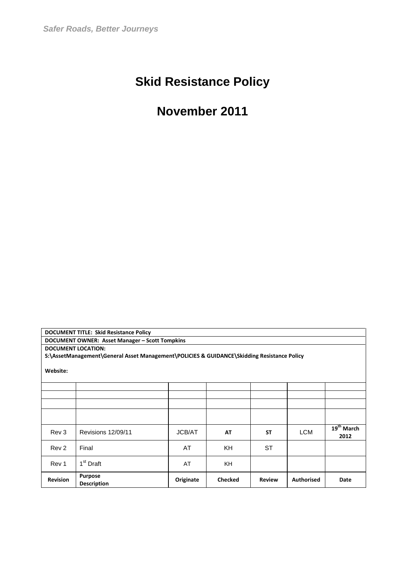# **Skid Resistance Policy**

## **November 2011**

| <b>DOCUMENT TITLE: Skid Resistance Policy</b>      |                                                                                            |               |                |               |                   |                      |  |  |  |  |  |  |
|----------------------------------------------------|--------------------------------------------------------------------------------------------|---------------|----------------|---------------|-------------------|----------------------|--|--|--|--|--|--|
| DOCUMENT OWNER: Asset Manager - Scott Tompkins     |                                                                                            |               |                |               |                   |                      |  |  |  |  |  |  |
|                                                    | <b>DOCUMENT LOCATION:</b>                                                                  |               |                |               |                   |                      |  |  |  |  |  |  |
|                                                    | S:\AssetManagement\General Asset Management\POLICIES & GUIDANCE\Skidding Resistance Policy |               |                |               |                   |                      |  |  |  |  |  |  |
| Website:                                           |                                                                                            |               |                |               |                   |                      |  |  |  |  |  |  |
|                                                    |                                                                                            |               |                |               |                   |                      |  |  |  |  |  |  |
|                                                    |                                                                                            |               |                |               |                   |                      |  |  |  |  |  |  |
|                                                    |                                                                                            |               |                |               |                   |                      |  |  |  |  |  |  |
|                                                    |                                                                                            |               |                |               |                   |                      |  |  |  |  |  |  |
| Rev 3                                              | Revisions 12/09/11                                                                         | <b>JCB/AT</b> | AT             | <b>ST</b>     | <b>LCM</b>        | $19th$ March<br>2012 |  |  |  |  |  |  |
| Rev <sub>2</sub><br>AT<br>KH<br><b>ST</b><br>Final |                                                                                            |               |                |               |                   |                      |  |  |  |  |  |  |
| 1 <sup>st</sup> Draft<br>AT<br>KH.<br>Rev 1        |                                                                                            |               |                |               |                   |                      |  |  |  |  |  |  |
| <b>Revision</b>                                    | <b>Purpose</b><br><b>Description</b>                                                       | Originate     | <b>Checked</b> | <b>Review</b> | <b>Authorised</b> | Date                 |  |  |  |  |  |  |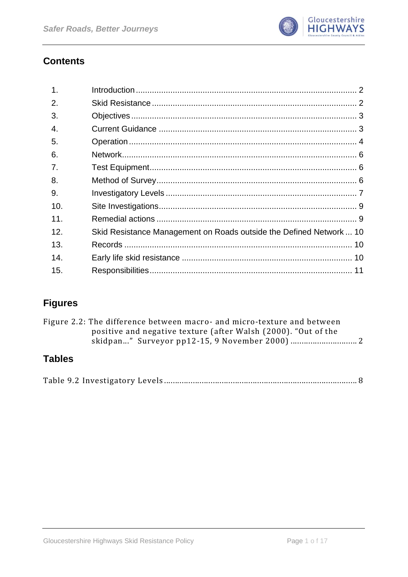

## **Contents**

| $\mathbf{1}$ . |                                                                     |  |
|----------------|---------------------------------------------------------------------|--|
| 2.             |                                                                     |  |
| 3.             |                                                                     |  |
| 4.             |                                                                     |  |
| 5.             |                                                                     |  |
| 6.             |                                                                     |  |
| 7.             |                                                                     |  |
| 8.             |                                                                     |  |
| 9.             |                                                                     |  |
| 10.            |                                                                     |  |
| 11.            |                                                                     |  |
| 12.            | Skid Resistance Management on Roads outside the Defined Network  10 |  |
| 13.            |                                                                     |  |
| 14.            |                                                                     |  |
| 15.            |                                                                     |  |

## **Figures**

| Figure 2.2: The difference between macro- and micro-texture and between |  |
|-------------------------------------------------------------------------|--|
| positive and negative texture (after Walsh (2000). "Out of the          |  |
|                                                                         |  |
|                                                                         |  |

## **Tables**

|--|--|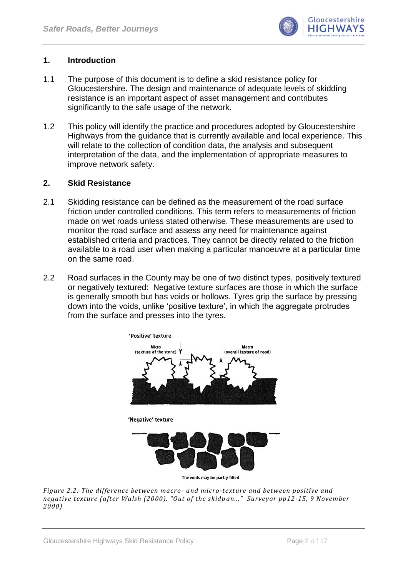

#### <span id="page-2-0"></span>**1. Introduction**

- 1.1 The purpose of this document is to define a skid resistance policy for Gloucestershire. The design and maintenance of adequate levels of skidding resistance is an important aspect of asset management and contributes significantly to the safe usage of the network.
- 1.2 This policy will identify the practice and procedures adopted by Gloucestershire Highways from the guidance that is currently available and local experience. This will relate to the collection of condition data, the analysis and subsequent interpretation of the data, and the implementation of appropriate measures to improve network safety.

#### <span id="page-2-1"></span>**2. Skid Resistance**

- 2.1 Skidding resistance can be defined as the measurement of the road surface friction under controlled conditions. This term refers to measurements of friction made on wet roads unless stated otherwise. These measurements are used to monitor the road surface and assess any need for maintenance against established criteria and practices. They cannot be directly related to the friction available to a road user when making a particular manoeuvre at a particular time on the same road.
- 2.2 Road surfaces in the County may be one of two distinct types, positively textured or negatively textured: Negative texture surfaces are those in which the surface is generally smooth but has voids or hollows. Tyres grip the surface by pressing down into the voids, unlike "positive texture", in which the aggregate protrudes from the surface and presses into the tyres.



<span id="page-2-2"></span>*Figure 2.2: The difference between macro- and micro-texture and between positive and negative texture (after Walsh (2000). "Out of the skidp an..." Surveyor pp12-15, 9 November 2000)*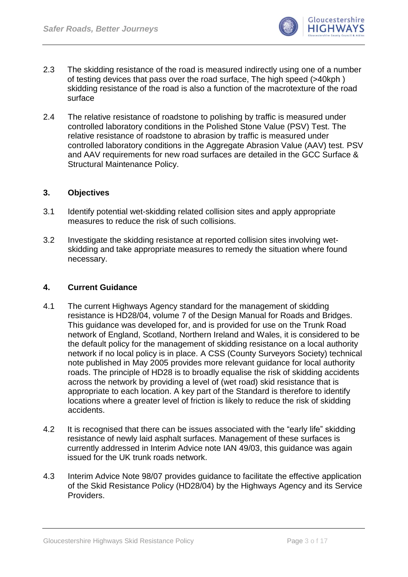

- 2.3 The skidding resistance of the road is measured indirectly using one of a number of testing devices that pass over the road surface, The high speed (>40kph ) skidding resistance of the road is also a function of the macrotexture of the road surface
- 2.4 The relative resistance of roadstone to polishing by traffic is measured under controlled laboratory conditions in the Polished Stone Value (PSV) Test. The relative resistance of roadstone to abrasion by traffic is measured under controlled laboratory conditions in the Aggregate Abrasion Value (AAV) test. PSV and AAV requirements for new road surfaces are detailed in the GCC Surface & Structural Maintenance Policy.

#### <span id="page-3-0"></span>**3. Objectives**

- 3.1 Identify potential wet-skidding related collision sites and apply appropriate measures to reduce the risk of such collisions.
- 3.2 Investigate the skidding resistance at reported collision sites involving wetskidding and take appropriate measures to remedy the situation where found necessary.

### <span id="page-3-1"></span>**4. Current Guidance**

- 4.1 The current Highways Agency standard for the management of skidding resistance is HD28/04, volume 7 of the Design Manual for Roads and Bridges. This guidance was developed for, and is provided for use on the Trunk Road network of England, Scotland, Northern Ireland and Wales, it is considered to be the default policy for the management of skidding resistance on a local authority network if no local policy is in place. A CSS (County Surveyors Society) technical note published in May 2005 provides more relevant guidance for local authority roads. The principle of HD28 is to broadly equalise the risk of skidding accidents across the network by providing a level of (wet road) skid resistance that is appropriate to each location. A key part of the Standard is therefore to identify locations where a greater level of friction is likely to reduce the risk of skidding accidents.
- 4.2 It is recognised that there can be issues associated with the "early life" skidding resistance of newly laid asphalt surfaces. Management of these surfaces is currently addressed in Interim Advice note IAN 49/03, this guidance was again issued for the UK trunk roads network.
- 4.3 Interim Advice Note 98/07 provides guidance to facilitate the effective application of the Skid Resistance Policy (HD28/04) by the Highways Agency and its Service Providers.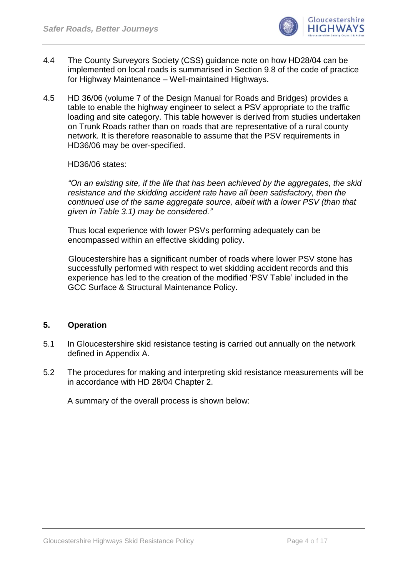

- 4.4 The County Surveyors Society (CSS) guidance note on how HD28/04 can be implemented on local roads is summarised in Section 9.8 of the code of practice for Highway Maintenance – Well-maintained Highways.
- 4.5 HD 36/06 (volume 7 of the Design Manual for Roads and Bridges) provides a table to enable the highway engineer to select a PSV appropriate to the traffic loading and site category. This table however is derived from studies undertaken on Trunk Roads rather than on roads that are representative of a rural county network. It is therefore reasonable to assume that the PSV requirements in HD36/06 may be over-specified.

HD36/06 states:

*"On an existing site, if the life that has been achieved by the aggregates, the skid resistance and the skidding accident rate have all been satisfactory, then the continued use of the same aggregate source, albeit with a lower PSV (than that given in Table 3.1) may be considered."* 

Thus local experience with lower PSVs performing adequately can be encompassed within an effective skidding policy.

 Gloucestershire has a significant number of roads where lower PSV stone has successfully performed with respect to wet skidding accident records and this experience has led to the creation of the modified "PSV Table" included in the GCC Surface & Structural Maintenance Policy.

#### <span id="page-4-0"></span>**5. Operation**

- 5.1 In Gloucestershire skid resistance testing is carried out annually on the network defined in Appendix A.
- 5.2 The procedures for making and interpreting skid resistance measurements will be in accordance with HD 28/04 Chapter 2.

A summary of the overall process is shown below: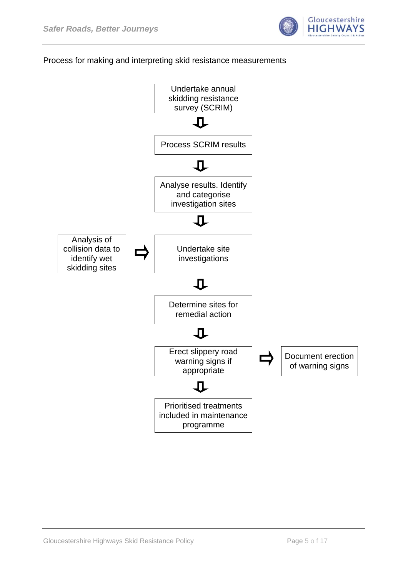

### Process for making and interpreting skid resistance measurements

<span id="page-5-0"></span>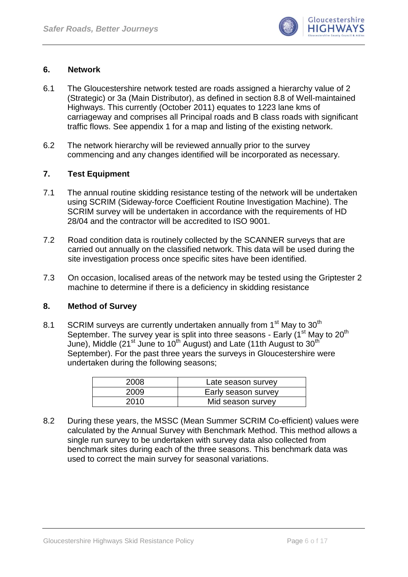

#### **6. Network**

- 6.1 The Gloucestershire network tested are roads assigned a hierarchy value of 2 (Strategic) or 3a (Main Distributor), as defined in section 8.8 of Well-maintained Highways. This currently (October 2011) equates to 1223 lane kms of carriageway and comprises all Principal roads and B class roads with significant traffic flows. See appendix 1 for a map and listing of the existing network.
- 6.2 The network hierarchy will be reviewed annually prior to the survey commencing and any changes identified will be incorporated as necessary.

#### <span id="page-6-0"></span>**7. Test Equipment**

- 7.1 The annual routine skidding resistance testing of the network will be undertaken using SCRIM (Sideway-force Coefficient Routine Investigation Machine). The SCRIM survey will be undertaken in accordance with the requirements of HD 28/04 and the contractor will be accredited to ISO 9001.
- 7.2 Road condition data is routinely collected by the SCANNER surveys that are carried out annually on the classified network. This data will be used during the site investigation process once specific sites have been identified.
- 7.3 On occasion, localised areas of the network may be tested using the Griptester 2 machine to determine if there is a deficiency in skidding resistance

#### <span id="page-6-1"></span>**8. Method of Survey**

8.1 SCRIM surveys are currently undertaken annually from  $1<sup>st</sup>$  May to  $30<sup>th</sup>$ September. The survey year is split into three seasons - Early  $(1<sup>st</sup>$  May to 20<sup>th</sup> June), Middle (21<sup>st</sup> June to 10<sup>th</sup> August) and Late (11th August to 30<sup>th</sup> September). For the past three years the surveys in Gloucestershire were undertaken during the following seasons;

| 2008 | Late season survey  |
|------|---------------------|
| 2009 | Early season survey |
| 2010 | Mid season survey   |

8.2 During these years, the MSSC (Mean Summer SCRIM Co-efficient) values were calculated by the Annual Survey with Benchmark Method. This method allows a single run survey to be undertaken with survey data also collected from benchmark sites during each of the three seasons. This benchmark data was used to correct the main survey for seasonal variations.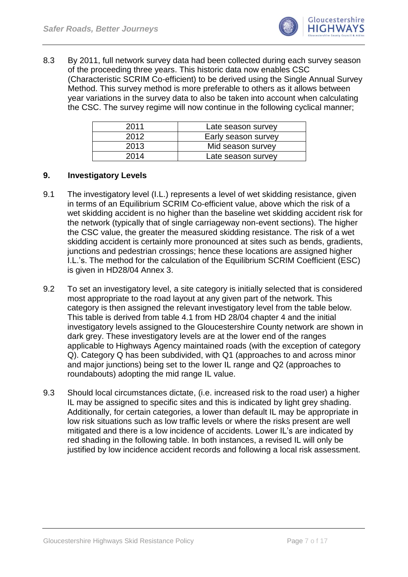

8.3 By 2011, full network survey data had been collected during each survey season of the proceeding three years. This historic data now enables CSC (Characteristic SCRIM Co-efficient) to be derived using the Single Annual Survey Method. This survey method is more preferable to others as it allows between year variations in the survey data to also be taken into account when calculating the CSC. The survey regime will now continue in the following cyclical manner;

| 2011 | Late season survey  |
|------|---------------------|
| 2012 | Early season survey |
| 2013 | Mid season survey   |
| 2014 | Late season survey  |

#### <span id="page-7-0"></span>**9. Investigatory Levels**

- 9.1 The investigatory level (I.L.) represents a level of wet skidding resistance, given in terms of an Equilibrium SCRIM Co-efficient value, above which the risk of a wet skidding accident is no higher than the baseline wet skidding accident risk for the network (typically that of single carriageway non-event sections). The higher the CSC value, the greater the measured skidding resistance. The risk of a wet skidding accident is certainly more pronounced at sites such as bends, gradients, junctions and pedestrian crossings; hence these locations are assigned higher I.L."s. The method for the calculation of the Equilibrium SCRIM Coefficient (ESC) is given in HD28/04 Annex 3.
- 9.2 To set an investigatory level, a site category is initially selected that is considered most appropriate to the road layout at any given part of the network. This category is then assigned the relevant investigatory level from the table below. This table is derived from table 4.1 from HD 28/04 chapter 4 and the initial investigatory levels assigned to the Gloucestershire County network are shown in dark grey. These investigatory levels are at the lower end of the ranges applicable to Highways Agency maintained roads (with the exception of category Q). Category Q has been subdivided, with Q1 (approaches to and across minor and major junctions) being set to the lower IL range and Q2 (approaches to roundabouts) adopting the mid range IL value.
- 9.3 Should local circumstances dictate, (i.e. increased risk to the road user) a higher IL may be assigned to specific sites and this is indicated by light grey shading. Additionally, for certain categories, a lower than default IL may be appropriate in low risk situations such as low traffic levels or where the risks present are well mitigated and there is a low incidence of accidents. Lower IL's are indicated by red shading in the following table. In both instances, a revised IL will only be justified by low incidence accident records and following a local risk assessment.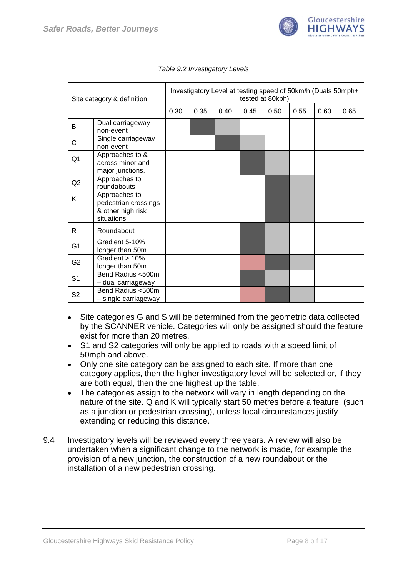

<span id="page-8-0"></span>

| Site category & definition |                                                                          | Investigatory Level at testing speed of 50km/h (Duals 50mph+<br>tested at 80kph) |      |      |      |      |      |      |      |  |  |
|----------------------------|--------------------------------------------------------------------------|----------------------------------------------------------------------------------|------|------|------|------|------|------|------|--|--|
|                            |                                                                          | 0.30                                                                             | 0.35 | 0.40 | 0.45 | 0.50 | 0.55 | 0.60 | 0.65 |  |  |
| B                          | Dual carriageway<br>non-event                                            |                                                                                  |      |      |      |      |      |      |      |  |  |
| C                          | Single carriageway<br>non-event                                          |                                                                                  |      |      |      |      |      |      |      |  |  |
| Q <sub>1</sub>             | Approaches to &<br>across minor and<br>major junctions,                  |                                                                                  |      |      |      |      |      |      |      |  |  |
| Q2                         | Approaches to<br>roundabouts                                             |                                                                                  |      |      |      |      |      |      |      |  |  |
| K                          | Approaches to<br>pedestrian crossings<br>& other high risk<br>situations |                                                                                  |      |      |      |      |      |      |      |  |  |
| R.                         | Roundabout                                                               |                                                                                  |      |      |      |      |      |      |      |  |  |
| G <sub>1</sub>             | Gradient 5-10%<br>longer than 50m                                        |                                                                                  |      |      |      |      |      |      |      |  |  |
| G <sub>2</sub>             | Gradient > 10%<br>longer than 50m                                        |                                                                                  |      |      |      |      |      |      |      |  |  |
| S <sub>1</sub>             | Bend Radius <500m<br>- dual carriageway                                  |                                                                                  |      |      |      |      |      |      |      |  |  |
| S <sub>2</sub>             | Bend Radius <500m<br>- single carriageway                                |                                                                                  |      |      |      |      |      |      |      |  |  |

|  | Table 9.2 Investigatory Levels |  |
|--|--------------------------------|--|
|  |                                |  |

- Site categories G and S will be determined from the geometric data collected  $\bullet$ by the SCANNER vehicle. Categories will only be assigned should the feature exist for more than 20 metres.
- S1 and S2 categories will only be applied to roads with a speed limit of 50mph and above.
- Only one site category can be assigned to each site. If more than one category applies, then the higher investigatory level will be selected or, if they are both equal, then the one highest up the table.
- The categories assign to the network will vary in length depending on the  $\bullet$ nature of the site. Q and K will typically start 50 metres before a feature, (such as a junction or pedestrian crossing), unless local circumstances justify extending or reducing this distance.
- 9.4 Investigatory levels will be reviewed every three years. A review will also be undertaken when a significant change to the network is made, for example the provision of a new junction, the construction of a new roundabout or the installation of a new pedestrian crossing.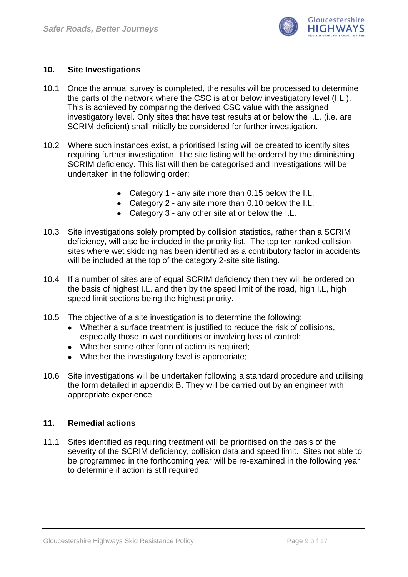

#### <span id="page-9-0"></span>**10. Site Investigations**

- 10.1 Once the annual survey is completed, the results will be processed to determine the parts of the network where the CSC is at or below investigatory level (I.L.). This is achieved by comparing the derived CSC value with the assigned investigatory level. Only sites that have test results at or below the I.L. (i.e. are SCRIM deficient) shall initially be considered for further investigation.
- 10.2 Where such instances exist, a prioritised listing will be created to identify sites requiring further investigation. The site listing will be ordered by the diminishing SCRIM deficiency. This list will then be categorised and investigations will be undertaken in the following order;
	- Category 1 any site more than 0.15 below the I.L.
	- Category 2 any site more than 0.10 below the I.L.
	- Category 3 any other site at or below the I.L.
- 10.3 Site investigations solely prompted by collision statistics, rather than a SCRIM deficiency, will also be included in the priority list. The top ten ranked collision sites where wet skidding has been identified as a contributory factor in accidents will be included at the top of the category 2-site site listing.
- 10.4 If a number of sites are of equal SCRIM deficiency then they will be ordered on the basis of highest I.L. and then by the speed limit of the road, high I.L, high speed limit sections being the highest priority.
- 10.5 The objective of a site investigation is to determine the following;
	- Whether a surface treatment is justified to reduce the risk of collisions, especially those in wet conditions or involving loss of control;
	- Whether some other form of action is required;
	- Whether the investigatory level is appropriate;
- 10.6 Site investigations will be undertaken following a standard procedure and utilising the form detailed in appendix B. They will be carried out by an engineer with appropriate experience.

#### <span id="page-9-1"></span>**11. Remedial actions**

11.1 Sites identified as requiring treatment will be prioritised on the basis of the severity of the SCRIM deficiency, collision data and speed limit. Sites not able to be programmed in the forthcoming year will be re-examined in the following year to determine if action is still required.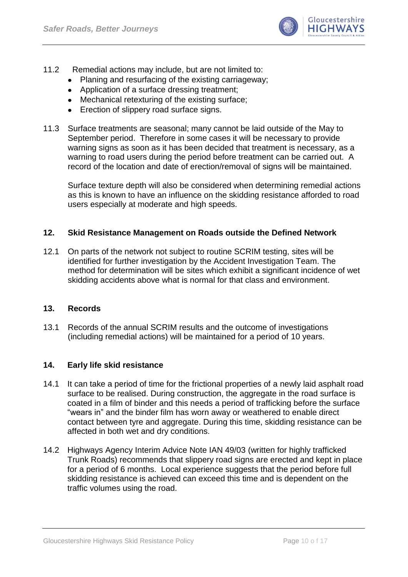

- 11.2 Remedial actions may include, but are not limited to:
	- Planing and resurfacing of the existing carriageway;
	- Application of a surface dressing treatment:
	- Mechanical retexturing of the existing surface;
	- Erection of slippery road surface signs.
- 11.3 Surface treatments are seasonal; many cannot be laid outside of the May to September period. Therefore in some cases it will be necessary to provide warning signs as soon as it has been decided that treatment is necessary, as a warning to road users during the period before treatment can be carried out. A record of the location and date of erection/removal of signs will be maintained.

Surface texture depth will also be considered when determining remedial actions as this is known to have an influence on the skidding resistance afforded to road users especially at moderate and high speeds.

#### <span id="page-10-0"></span>**12. Skid Resistance Management on Roads outside the Defined Network**

12.1 On parts of the network not subject to routine SCRIM testing, sites will be identified for further investigation by the Accident Investigation Team. The method for determination will be sites which exhibit a significant incidence of wet skidding accidents above what is normal for that class and environment.

#### <span id="page-10-1"></span>**13. Records**

13.1 Records of the annual SCRIM results and the outcome of investigations (including remedial actions) will be maintained for a period of 10 years.

#### <span id="page-10-2"></span>**14. Early life skid resistance**

- 14.1 It can take a period of time for the frictional properties of a newly laid asphalt road surface to be realised. During construction, the aggregate in the road surface is coated in a film of binder and this needs a period of trafficking before the surface "wears in" and the binder film has worn away or weathered to enable direct contact between tyre and aggregate. During this time, skidding resistance can be affected in both wet and dry conditions.
- 14.2 Highways Agency Interim Advice Note IAN 49/03 (written for highly trafficked Trunk Roads) recommends that slippery road signs are erected and kept in place for a period of 6 months. Local experience suggests that the period before full skidding resistance is achieved can exceed this time and is dependent on the traffic volumes using the road.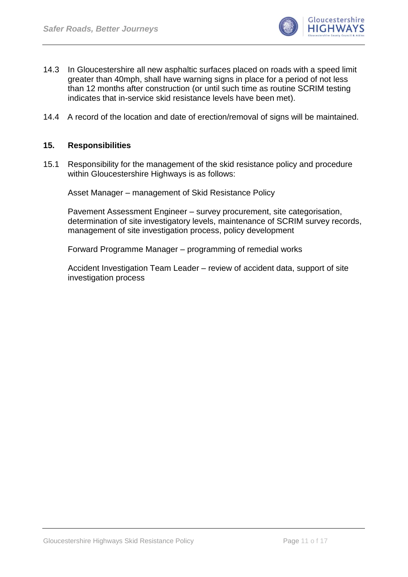

- 14.3 In Gloucestershire all new asphaltic surfaces placed on roads with a speed limit greater than 40mph, shall have warning signs in place for a period of not less than 12 months after construction (or until such time as routine SCRIM testing indicates that in-service skid resistance levels have been met).
- 14.4 A record of the location and date of erection/removal of signs will be maintained.

#### <span id="page-11-0"></span>**15. Responsibilities**

15.1 Responsibility for the management of the skid resistance policy and procedure within Gloucestershire Highways is as follows:

Asset Manager – management of Skid Resistance Policy

Pavement Assessment Engineer – survey procurement, site categorisation, determination of site investigatory levels, maintenance of SCRIM survey records, management of site investigation process, policy development

Forward Programme Manager – programming of remedial works

Accident Investigation Team Leader – review of accident data, support of site investigation process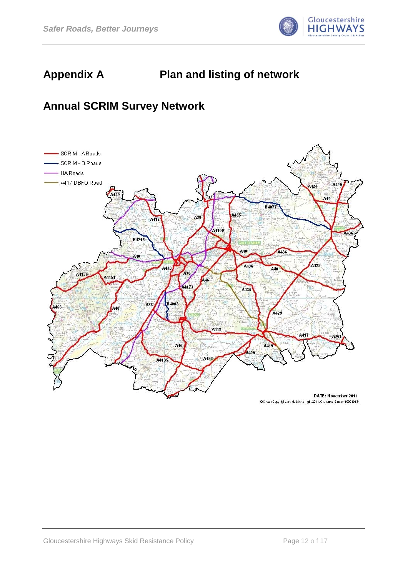

## **Appendix A Plan and listing of network**

## **Annual SCRIM Survey Network**

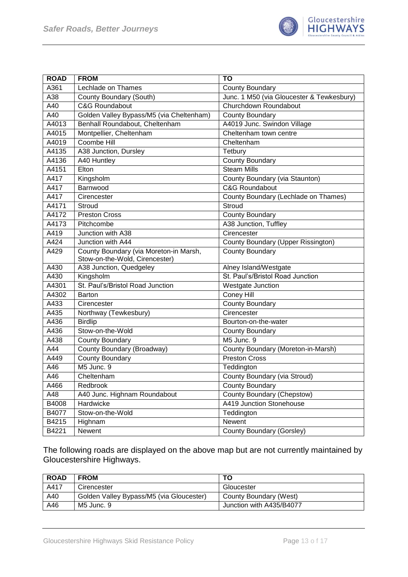

| <b>ROAD</b> | <b>FROM</b>                              | TO                                        |
|-------------|------------------------------------------|-------------------------------------------|
| A361        | Lechlade on Thames                       | County Boundary                           |
| A38         | County Boundary (South)                  | Junc. 1 M50 (via Gloucester & Tewkesbury) |
| A40         | <b>C&amp;G Roundabout</b>                | Churchdown Roundabout                     |
| A40         | Golden Valley Bypass/M5 (via Cheltenham) | <b>County Boundary</b>                    |
| A4013       | Benhall Roundabout, Cheltenham           | A4019 Junc. Swindon Village               |
| A4015       | Montpellier, Cheltenham                  | Cheltenham town centre                    |
| A4019       | Coombe Hill                              | Cheltenham                                |
| A4135       | A38 Junction, Dursley                    | Tetbury                                   |
| A4136       | A40 Huntley                              | <b>County Boundary</b>                    |
| A4151       | Elton                                    | <b>Steam Mills</b>                        |
| A417        | Kingsholm                                | County Boundary (via Staunton)            |
| A417        | Barnwood                                 | <b>C&amp;G Roundabout</b>                 |
| A417        | Cirencester                              | County Boundary (Lechlade on Thames)      |
| A4171       | <b>Stroud</b>                            | Stroud                                    |
| A4172       | <b>Preston Cross</b>                     | <b>County Boundary</b>                    |
| A4173       | Pitchcombe                               | A38 Junction, Tuffley                     |
| A419        | Junction with A38                        | Cirencester                               |
| A424        | Junction with A44                        | <b>County Boundary (Upper Rissington)</b> |
| A429        | County Boundary (via Moreton-in Marsh,   | <b>County Boundary</b>                    |
|             | Stow-on-the-Wold, Cirencester)           |                                           |
| A430        | A38 Junction, Quedgeley                  | Alney Island/Westgate                     |
| A430        | Kingsholm                                | St. Paul's/Bristol Road Junction          |
| A4301       | St. Paul's/Bristol Road Junction         | <b>Westgate Junction</b>                  |
| A4302       | <b>Barton</b>                            | <b>Coney Hill</b>                         |
| A433        | Cirencester                              | <b>County Boundary</b>                    |
| A435        | Northway (Tewkesbury)                    | Cirencester                               |
| A436        | <b>Birdlip</b>                           | Bourton-on-the-water                      |
| A436        | Stow-on-the-Wold                         | <b>County Boundary</b>                    |
| A438        | County Boundary                          | M5 Junc. 9                                |
| A44         | County Boundary (Broadway)               | County Boundary (Moreton-in-Marsh)        |
| A449        | <b>County Boundary</b>                   | <b>Preston Cross</b>                      |
| A46         | M5 Junc. 9                               | Teddington                                |
| A46         | Cheltenham                               | County Boundary (via Stroud)              |
| A466        | Redbrook                                 | <b>County Boundary</b>                    |
| A48         | A40 Junc. Highnam Roundabout             | <b>County Boundary (Chepstow)</b>         |
| B4008       | Hardwicke                                | A419 Junction Stonehouse                  |
| B4077       | Stow-on-the-Wold                         | Teddington                                |
| B4215       | Highnam                                  | Newent                                    |
| B4221       | Newent                                   | County Boundary (Gorsley)                 |

The following roads are displayed on the above map but are not currently maintained by Gloucestershire Highways.

| <b>ROAD</b> | <b>FROM</b>                              | ΤO                       |
|-------------|------------------------------------------|--------------------------|
| A417        | Cirencester                              | Gloucester               |
| A40         | Golden Valley Bypass/M5 (via Gloucester) | County Boundary (West)   |
| A46         | M5 Junc. 9                               | Junction with A435/B4077 |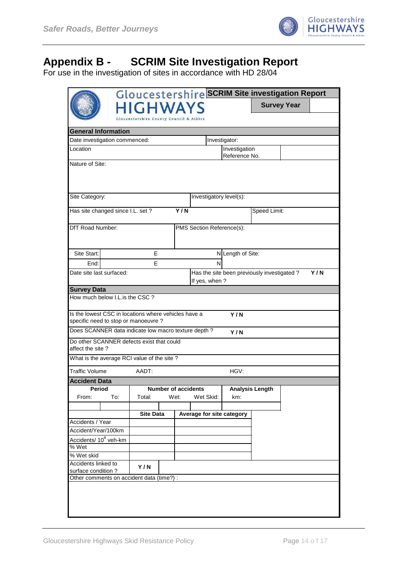

## **Appendix B - SCRIM Site Investigation Report**

For use in the investigation of sites in accordance with HD 28/04

|                                                      |                                           |                                                    |  |                            | Gloucestershire SCRIM Site investigation Report |                   |                        |                    |     |  |  |
|------------------------------------------------------|-------------------------------------------|----------------------------------------------------|--|----------------------------|-------------------------------------------------|-------------------|------------------------|--------------------|-----|--|--|
|                                                      |                                           | <b>HIGHWAYS</b>                                    |  |                            |                                                 |                   |                        | <b>Survey Year</b> |     |  |  |
|                                                      |                                           | <b>Gloucestershire County Council &amp; Atkins</b> |  |                            |                                                 |                   |                        |                    |     |  |  |
|                                                      | <b>General Information</b>                |                                                    |  |                            |                                                 |                   |                        |                    |     |  |  |
| Date investigation commenced:                        |                                           |                                                    |  |                            |                                                 | Investigator:     |                        |                    |     |  |  |
| Location                                             |                                           |                                                    |  |                            |                                                 | Investigation     |                        |                    |     |  |  |
|                                                      |                                           |                                                    |  |                            |                                                 | Reference No.     |                        |                    |     |  |  |
|                                                      | Nature of Site:                           |                                                    |  |                            |                                                 |                   |                        |                    |     |  |  |
|                                                      |                                           |                                                    |  |                            |                                                 |                   |                        |                    |     |  |  |
|                                                      |                                           |                                                    |  |                            |                                                 |                   |                        |                    |     |  |  |
| Site Category:                                       |                                           |                                                    |  |                            | Investigatory level(s):                         |                   |                        |                    |     |  |  |
|                                                      |                                           |                                                    |  |                            |                                                 |                   |                        |                    |     |  |  |
| Has site changed since I.L. set?                     |                                           |                                                    |  | Y/N                        |                                                 |                   | Speed Limit:           |                    |     |  |  |
| DfT Road Number:                                     |                                           |                                                    |  |                            | PMS Section Reference(s):                       |                   |                        |                    |     |  |  |
|                                                      |                                           |                                                    |  |                            |                                                 |                   |                        |                    |     |  |  |
|                                                      |                                           |                                                    |  |                            |                                                 |                   |                        |                    |     |  |  |
| Site Start:                                          |                                           | E                                                  |  |                            |                                                 | N Length of Site: |                        |                    |     |  |  |
| End:                                                 |                                           | Е                                                  |  |                            | N                                               |                   |                        |                    |     |  |  |
| Date site last surfaced:                             |                                           |                                                    |  |                            | Has the site been previously investigated?      |                   |                        |                    | Y/N |  |  |
|                                                      |                                           |                                                    |  |                            | If yes, when?                                   |                   |                        |                    |     |  |  |
| <b>Survey Data</b>                                   |                                           |                                                    |  |                            |                                                 |                   |                        |                    |     |  |  |
| How much below I.L.is the CSC?                       |                                           |                                                    |  |                            |                                                 |                   |                        |                    |     |  |  |
| Is the lowest CSC in locations where vehicles have a |                                           |                                                    |  |                            |                                                 |                   |                        |                    |     |  |  |
| specific need to stop or manoeuvre?                  |                                           |                                                    |  |                            |                                                 | Y/N               |                        |                    |     |  |  |
| Does SCANNER data indicate low macro texture depth?  |                                           |                                                    |  |                            |                                                 | Y/N               |                        |                    |     |  |  |
| Do other SCANNER defects exist that could            |                                           |                                                    |  |                            |                                                 |                   |                        |                    |     |  |  |
| affect the site?                                     |                                           |                                                    |  |                            |                                                 |                   |                        |                    |     |  |  |
| What is the average RCI value of the site?           |                                           |                                                    |  |                            |                                                 |                   |                        |                    |     |  |  |
| <b>Traffic Volume</b>                                |                                           | AADT:                                              |  |                            |                                                 | HGV:              |                        |                    |     |  |  |
|                                                      |                                           |                                                    |  |                            |                                                 |                   |                        |                    |     |  |  |
| <b>Accident Data</b><br>Period                       |                                           |                                                    |  | <b>Number of accidents</b> |                                                 |                   | <b>Analysis Length</b> |                    |     |  |  |
| From:                                                | To:                                       | Total:                                             |  | Wet:                       | Wet Skid:                                       | km:               |                        |                    |     |  |  |
|                                                      |                                           |                                                    |  |                            |                                                 |                   |                        |                    |     |  |  |
|                                                      |                                           | <b>Site Data</b>                                   |  |                            | Average for site category                       |                   |                        |                    |     |  |  |
| Accidents / Year                                     |                                           |                                                    |  |                            |                                                 |                   |                        |                    |     |  |  |
|                                                      | Accident/Year/100km                       |                                                    |  |                            |                                                 |                   |                        |                    |     |  |  |
| Accidents/ 10 <sup>8</sup> veh-km<br>$%$ Wet         |                                           |                                                    |  |                            |                                                 |                   |                        |                    |     |  |  |
| % Wet skid                                           |                                           |                                                    |  |                            |                                                 |                   |                        |                    |     |  |  |
| Accidents linked to                                  |                                           |                                                    |  |                            |                                                 |                   |                        |                    |     |  |  |
| Y/N<br>surface condition?                            |                                           |                                                    |  |                            |                                                 |                   |                        |                    |     |  |  |
|                                                      | Other comments on accident data (time?) : |                                                    |  |                            |                                                 |                   |                        |                    |     |  |  |
|                                                      |                                           |                                                    |  |                            |                                                 |                   |                        |                    |     |  |  |
|                                                      |                                           |                                                    |  |                            |                                                 |                   |                        |                    |     |  |  |
|                                                      |                                           |                                                    |  |                            |                                                 |                   |                        |                    |     |  |  |
|                                                      |                                           |                                                    |  |                            |                                                 |                   |                        |                    |     |  |  |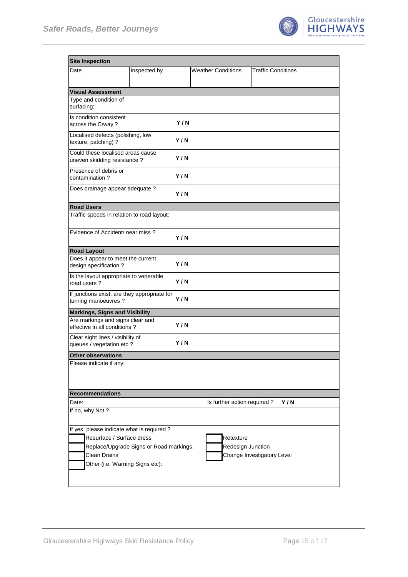

| <b>Site Inspection</b>                                                                                                                                                      |              |     |                                |                            |     |
|-----------------------------------------------------------------------------------------------------------------------------------------------------------------------------|--------------|-----|--------------------------------|----------------------------|-----|
| Date                                                                                                                                                                        | Inspected by |     | <b>Weather Conditions</b>      | <b>Traffic Conditions</b>  |     |
|                                                                                                                                                                             |              |     |                                |                            |     |
| <b>Visual Assessment</b>                                                                                                                                                    |              |     |                                |                            |     |
| Type and condition of<br>surfacing:                                                                                                                                         |              |     |                                |                            |     |
| Is condition consistent<br>across the C/way?                                                                                                                                |              | Y/N |                                |                            |     |
| Localised defects (polishing, low<br>texture, patching) ?                                                                                                                   |              | Y/N |                                |                            |     |
| Could these localised areas cause<br>uneven skidding resistance?                                                                                                            |              | Y/N |                                |                            |     |
| Presence of debris or<br>contamination?                                                                                                                                     |              | Y/N |                                |                            |     |
| Does drainage appear adequate ?                                                                                                                                             |              | Y/N |                                |                            |     |
| <b>Road Users</b>                                                                                                                                                           |              |     |                                |                            |     |
| Traffic speeds in relation to road layout:                                                                                                                                  |              |     |                                |                            |     |
| Evidence of Accident/ near miss?                                                                                                                                            |              | Y/N |                                |                            |     |
| <b>Road Layout</b>                                                                                                                                                          |              |     |                                |                            |     |
| Does it appear to meet the current<br>design specification?                                                                                                                 |              | Y/N |                                |                            |     |
| Is the layout appropriate to venerable<br>road users?                                                                                                                       |              | Y/N |                                |                            |     |
| If junctions exist, are they appropriate for<br>turning manoeuvres?                                                                                                         |              | Y/N |                                |                            |     |
| <b>Markings, Signs and Visibility</b>                                                                                                                                       |              |     |                                |                            |     |
| Are markings and signs clear and<br>effective in all conditions?                                                                                                            |              | Y/N |                                |                            |     |
| Clear sight lines / visibility of<br>queues / vegetation etc ?                                                                                                              |              | Y/N |                                |                            |     |
| <b>Other observations</b>                                                                                                                                                   |              |     |                                |                            |     |
| Please indicate if any:                                                                                                                                                     |              |     |                                |                            |     |
| <b>Recommendations</b>                                                                                                                                                      |              |     |                                |                            |     |
| Date:                                                                                                                                                                       |              |     | Is further action required?    |                            | Y/N |
| If no, why Not?                                                                                                                                                             |              |     |                                |                            |     |
| If yes, please indicate what is required?<br>Resurface / Surface dress<br>Replace/Upgrade Signs or Road markings.<br><b>Clean Drains</b><br>Other (i.e. Warning Signs etc): |              |     | Retexture<br>Redesign Junction | Change Investigatory Level |     |